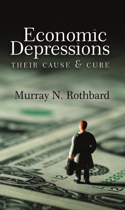# **Economic**<br>Depressions THEIR CAUSE & CURE

#### Murray N. Rothbard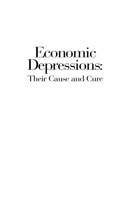# Economic Depressions: Their Cause and Cure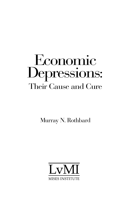### Economic Depressions: Their Cause and Cure

Murray N. Rothbard

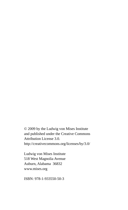© 2009 by the Ludwig von Mises Institute and published under the Creative Commons Attribution License 3.0. http://creativecommons.org/licenses/by/3.0/

Ludwig von Mises Institute 518 West Magnolia Avenue Auburn, Alabama 36832 www.mises.org

ISBN: 978-1-933550-50-3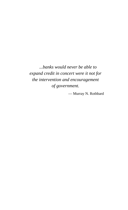*...banks would never be able to expand credit in concert were it not for the intervention and encouragement of government.*

— Murray N. Rothbard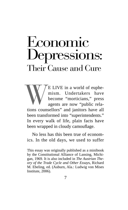# Economic Depressions: Their Cause and Cure

WE LIVE in a world of euphemism. Undertakers have<br>become "morticians," press<br>agents are now "public rela-<br>tions counsellors" and ianitors have all mism. Undertakers have become "morticians," press agents are now "public relations counsellors" and janitors have all been transformed into "superintendents." In every walk of life, plain facts have been wrapped in cloudy camouflage.

No less has this been true of economics. In the old days, we used to suffer

This essay was originally published as a minibook by the Constitutional Alliance of Lansing, Michigan, 1969. It is also included in *The Austrian Theory of the Trade Cycle and Other Essay*s, Richard M. Ebeling, ed. (Auburn, Ala.: Ludwig von Mises Institute, 2006).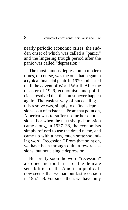nearly periodic economic crises, the sudden onset of which was called a "panic," and the lingering trough period after the panic was called "depression."

The most famous depression in modern times, of course, was the one that began in a typical financial panic in 1929 and lasted until the advent of World War II. After the disaster of 1929, economists and politicians resolved that this must never happen again. The easiest way of succeeding at this resolve was, simply to define "depressions" out of existence. From that point on, America was to suffer no further depressions. For when the next sharp depression came along, in 1937–38, the economists simply refused to use the dread name, and came up with a new, much softer-sounding word: "recession." From that point on, we have been through quite a few recessions, but not a single depression.

But pretty soon the word " recession" also became too harsh for the delicate sensibilities of the American public. It now seems that we had our last recession in 1957–58. For since then, we have only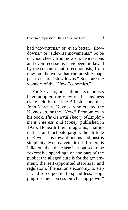had "downturns," or, even better, "slowdowns," or "sidewise movements." So be of good cheer; from now on, depressions and even recessions have been outlawed by the semantic fiat of economists; from now on, the worst that can possibly happen to us are "slowdowns." Such are the wonders of the "New Economics."

For 30 years, our nation's economists have adopted the view of the business cycle held by the late British economist, John Maynard Keynes, who created the Keynesian, or the "New," Economics in his book, *The General Theory of Employment, Interest, and Money*, published in 1936. Beneath their diagrams, mathematics, and inchoate jargon, the attitude of Keynesians toward booms and bust is simplicity, even naivete, itself. If there is inflation, then the cause is supposed to be " excessive spending" on the part of the public; the alleged cure is for the government, the self-appointed stabilizer and regulator of the nation's economy, to step in and force people to spend less, "sopping up their excess purchasing power"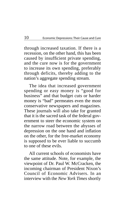through increased taxation. If there is a recession, on the other hand, this has been caused by insufficient private spending, and the cure now is for the government to increase its own spending, preferably through deficits, thereby adding to the nation's aggregate spending stream.

The idea that increased government spending or easy money is "good for business" and that budget cuts or harder money is "bad" permeates even the most conservative newspapers and magazines. These journals will also take for granted that it is the sacred task of the federal government to steer the economic system on the narrow road between the abysses of depression on the one hand and inflation on the other, for the free-market economy is supposed to be ever liable to succumb to one of these evils.

All current schools of economists have the same attitude. Note, for example, the viewpoint of Dr. Paul W. McCracken, the incoming chairman of President Nixon's Council of Economic Advisers. In an interview with the *New York Times* shortly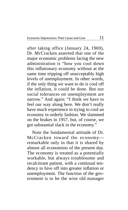after taking office (January 24, 1969), Dr. McCracken asserted that one of the major economic problems facing the new administration is "how you cool down this inflationary economy without at the same time tripping off unacceptably high levels of unemployment. In other words, if the only thing we want to do is cool off the inflation, it could be done. But our social tolerances on unemployment are narrow." And again: "I think we have to feel our way along here. We don't really have much experience in trying to cool an economy in orderly fashion. We slammed on the brakes in 1957, but, of course, we got substantial slack in the economy."

Note the fundamental attitude of Dr. McCracken toward the economy remarkable only in that it is shared by almost all economists of the present day. The economy is treated as a potentially workable, but always troublesome and recalcitrant patient, with a continual tendency to hive off into greater inflation or unemployment. The function of the government is to be the wise old manager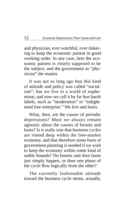and physician, ever watchful, ever tinkering to keep the economic patient in good working order. In any case, here the economic patient is clearly supposed to be the subject, and the government as "physician" the master.

It was not so long ago that this kind of attitude and policy was called "socialism"; but we live in a world of euphemism, and now we call it by far less harsh labels, such as "moderation" or "enlightened free enterprise." We live and learn.

What, then, are the causes of periodic depressions? Must we always remain agnostic about the causes of booms and busts? Is it really true that business cycles are rooted deep within the free-market economy, and that therefore some form of government planning is needed if we wish to keep the economy within some kind of stable bounds? Do booms and then busts just simply happen, or does one phase of the cycle flow logically from the other?

The currently fashionable attitude toward the business cycle stems, actually,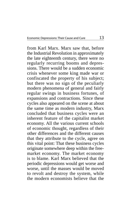from Karl Marx. Marx saw that, before the Industrial Revolution in approximately the late eighteenth century, there were no regularly recurring booms and depressions. There would be a sudden economic crisis whenever some king made war or confiscated the property of his subject; but there was no sign of the peculiarly modern phenomena of general and fairly regular swings in business fortunes, of expansions and contractions. Since these cycles also appeared on the scene at about the same time as modern industry, Marx concluded that business cycles were an inherent feature of the capitalist market economy. All the various current schools of economic thought, regardless of their other differences and the different causes that they attribute to the cycle, agree on this vital point: That these business cycles originate somewhere deep within the freemarket economy. The market economy is to blame. Karl Marx believed that the periodic depressions would get worse and worse, until the masses would be moved to revolt and destroy the system, while the modern economists believe that the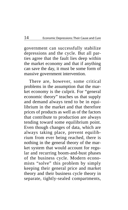government can successfully stabilize depressions and the cycle. But all parties agree that the fault lies deep within the market economy and that if anything can save the day, it must be some form of massive government intervention.

There are, however, some critical problems in the assumption that the market economy is the culprit. For "general economic theory" teaches us that supply and demand always tend to be in equilibrium in the market and that therefore prices of products as well as of the factors that contribute to production are always tending toward some equilibrium point. Even though changes of data, which are always taking place, prevent equilibrium from ever being reached, there is nothing in the general theory of the market system that would account for regular and recurring boom-and-bust phases of the business cycle. Modern economists "solve" this problem by simply keeping their general price and market theory and their business cycle theory in separate, tightly-sealed compartments,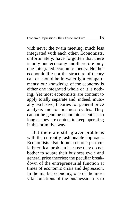with never the twain meeting, much less integrated with each other. Economists, unfortunately, have forgotten that there is only one economy and therefore only one integrated economic theory. Neither economic life nor the structure of theory can or should be in watertight compartments; our knowledge of the economy is either one integrated whole or it is nothing. Yet most economists are content to apply totally separate and, indeed, mutually exclusive, theories for general price analysis and for business cycles. They cannot be genuine economic scientists so long as they are content to keep operating in this primitive way.

But there are still graver problems with the currently fashionable approach. Economists also do not see one particularly critical problem because they do not bother to square their business cycle and general price theories: the peculiar breakdown of the entrepreneurial function at times of economic crisis and depression. In the market economy, one of the most vital functions of the businessman is to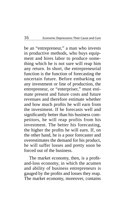be an "entrepreneur," a man who invests in productive methods, who buys equipment and hires labor to produce something which he is not sure will reap him any return. In short, the entrepreneurial function is the function of forecasting the uncertain future. Before embarking on any investment or line of production, the entrepreneur, or "enterpriser," must estimate present and future costs and future revenues and therefore estimate whether and how much profits he will earn from the investment. If he forecasts well and significantly better than his business competitors, he will reap profits from his investment. The better his forecasting, the higher the profits he will earn. If, on the other hand, he is a poor forecaster and overestimates the demand for his product, he will suffer losses and pretty soon be forced out of the business.

The market economy, then, is a profitand-loss economy, in which the acumen and ability of business entrepreneurs is gauged by the profits and losses they reap. The market economy, moreover, contains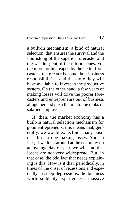a built-in mechanism, a kind of natural selection, that ensures the survival and the flourishing of the superior forecaster and the weeding-out of the inferior ones. For the more profits reaped by the better forecasters, the greater become their business responsibilities, and the more they will have available to invest in the productive system. On the other hand, a few years of making losses will drive the poorer forecasters and entrepreneurs out of business altogether and push them into the ranks of salaried employees.

If, then, the market economy has a built-in natural selection mechanism for good entrepreneurs, this means that, generally, we would expect not many business firms to be making losses. And, in fact, if we look around at the economy on an average day or year, we will find that losses are not very widespread. But, in that case, the odd fact that needs explaining is this: How is it that, periodically, in times of the onset of recessions and especially in steep depressions, the business world suddenly experiences a massive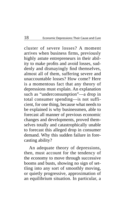cluster of severe losses? A moment arrives when business firms, previously highly astute entrepreneurs in their ability to make profits and avoid losses, suddenly and dismayingly find themselves, almost all of them, suffering severe and unaccountable losses? How come? Here is a momentous fact that any theory of depressions must explain. An explanation such as "underconsumption"—a drop in total consumer spending—is not sufficient, for one thing, because what needs to be explained is why businessmen, able to forecast all manner of previous economic changes and developments, proved themselves totally and catastrophically unable to forecast this alleged drop in consumer demand. Why this sudden failure in forecasting ability?

An adequate theory of depressions, then, must account for the tendency of the economy to move through successive booms and busts, showing no sign of settling into any sort of smoothly moving, or quietly progressive, approximation of an equilibrium situation. In particular, a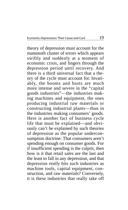theory of depression must account for the mammoth cluster of errors which appears swiftly and suddenly at a moment of economic crisis, and lingers through the depression period until recovery. And there is a third universal fact that a theory of the cycle must account for. Invariably, the booms and busts are much more intense and severe in the "capital goods industries"—the industries making machines and equipment, the ones producing industrial raw materials or constructing industrial plants—than in the industries making consumers' goods. Here is another fact of business cycle life that must be explained—and obviously can't be explained by such theories of depression as the popular underconsumption doctrine: That consumers aren't spending enough on consumer goods. For if insufficient spending is the culprit, then how is it that retail sales are the last and the least to fall in any depression, and that depression *really* hits such industries as machine tools, capital equipment, construction, and raw materials? Conversely, it is these industries that really take off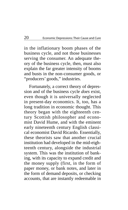in the inflationary boom phases of the business cycle, and not those businesses serving the consumer. An adequate theory of the business cycle, then, must also explain the far greater intensity of booms and busts in the non-consumer goods, or "producers' goods," industries.

Fortunately, a correct theory of depression and of the business cycle *does* exist, even though it is universally neglected in present-day economics. It, too, has a long tradition in economic thought. This theory began with the eighteenth century Scottish philosopher and economist David Hume, and with the eminent early nineteenth century English classical economist David Ricardo. Essentially, these theorists saw that another crucial institution had developed in the mid-eighteenth century, alongside the industrial system. This was the institution of banking, with its capacity to expand credit and the money supply (first, in the form of paper money, or bank notes, and later in the form of demand deposits, or checking accounts, that are instantly redeemable in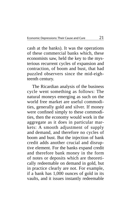cash at the banks). It was the operations of these commercial banks which, these economists saw, held the key to the mysterious recurrent cycles of expansion and contraction, of boom and bust, that had puzzled observers since the mid-eighteenth century.

The Ricardian analysis of the business cycle went something as follows: The natural moneys emerging as such on the world free market are useful commodities, generally gold and silver. If money were confined simply to these commodities, then the economy would work in the aggregate as it does in particular markets: A smooth adjustment of supply and demand, and therefore no cycles of boom and bust. But the injection of bank credit adds another crucial and disruptive element. For the banks expand credit and therefore bank money in the form of notes or deposits which are theoretically redeemable on demand in gold, but in practice clearly are not. For example, if a bank has 1,000 ounces of gold in its vaults, and it issues instantly redeemable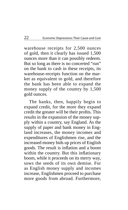warehouse receipts for 2,500 ounces of gold, then it clearly has issued 1,500 ounces more than it can possibly redeem. But so long as there is no concerted "run" on the bank to cash in these receipts, its warehouse-receipts function on the market as equivalent to gold, and therefore the bank has been able to expand the money supply of the country by 1,500 gold ounces.

The banks, then, happily begin to expand credit, for the more they expand credit the greater will be their profits. This results in the expansion of the money supply within a country, say England. As the supply of paper and bank money in England increases, the money incomes and expenditures of Englishmen rise, and the increased money bids up prices of English goods. The result is inflation and a boom within the country. But this inflationary boom, while it proceeds on its merry way, sows the seeds of its own demise. For as English money supply and incomes increase, Englishmen proceed to purchase more goods from abroad. Furthermore,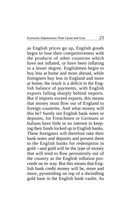as English prices go up, English goods begin to lose their competitiveness with the products of other countries which have not inflated, or have been inflating to a lesser degree. Englishmen begin to buy less at home and more abroad, while foreigners buy less in England and more at home; the result is a deficit in the English balance of payments, with English exports falling sharply behind imports. But if imports exceed exports, this means that money must flow out of England to foreign countries. And what money will this be? Surely not English bank notes or deposits, for Frenchmen or Germans or Italians have little or no interest in keeping their funds locked up in English banks. These foreigners will therefore take their bank notes and deposits and present them to the English banks for redemption in gold—and gold will be the type of money that will tend to flow persistently out of the country as the English inflation proceeds on its way. But this means that English bank credit money will be, more and more, pyramiding on top of a dwindling gold base in the English bank vaults. As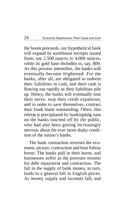the boom proceeds, our hypothetical bank will expand its warehouse receipts issued from, say 2,500 ounces to 4,000 ounces, while its gold base dwindles to, say, 800. As this process intensifies, the banks will eventually become frightened. For the banks, after all, are obligated to redeem their liabilities in cash, and their cash is flowing out rapidly as their liabilities pile up. Hence, the banks will eventually lose their nerve, stop their credit expansion, and in order to save themselves, contract their bank loans outstanding. Often, this retreat is precipitated by bankrupting runs on the banks touched off by the public, who had also been getting increasingly nervous about the ever more shaky condition of the nation's banks.

The bank contraction reverses the economic picture; contraction and bust follow boom. The banks pull in their horns, and businesses suffer as the pressure mounts for debt repayment and contraction. The fall in the supply of bank money, in turn, leads to a general fall in English prices. As money supply and incomes fall, and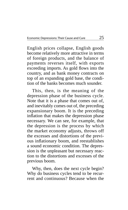English prices collapse, English goods become relatively more attractive in terms of foreign products, and the balance of payments reverses itself, with exports exceeding imports. As gold flows into the country, and as bank money contracts on top of an expanding gold base, the condition of the banks becomes much sounder.

This, then, is the meaning of the depression phase of the business cycle. Note that it is a phase that comes out of, and inevitably comes out of, the preceding expansionary boom. It is the preceding inflation that makes the depression phase necessary. We can see, for example, that the depression is the process by which the market economy adjusts, throws off the excesses and distortions of the previous inflationary boom, and reestablishes a sound economic condition. The depression is the unpleasant but necessary reaction to the distortions and excesses of the previous boom.

Why, then, does the next cycle begin? Why do business cycles tend to be recurrent and continuous? Because when the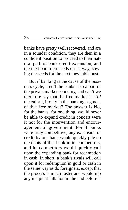banks have pretty well recovered, and are in a sounder condition, they are then in a confident position to proceed to their natural path of bank credit expansion, and the next boom proceeds on its way, sowing the seeds for the next inevitable bust.

But if banking is the cause of the business cycle, aren't the banks also a part of the private market economy, and can't we therefore say that the free market is *still* the culprit, if only in the banking segment of that free market? The answer is No, for the banks, for one thing, would never be able to expand credit in concert were it not for the intervention and encouragement of government. For if banks were truly competitive, any expansion of credit by one bank would quickly pile up the debts of that bank in its competitors, and its competitors would quickly call upon the expanding bank for redemption in cash. In short, a bank's rivals will call upon it for redemption in gold or cash in the same way as do foreigners, except that the process is much faster and would nip any incipient inflation in the bud before it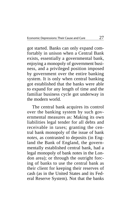got started. Banks can only expand comfortably in unison when a Central Bank exists, essentially a governmental bank, enjoying a monopoly of government business, and a privileged position imposed by government over the entire banking system. It is only when central banking got established that the banks were able to expand for any length of time and the familiar business cycle got underway in the modern world.

The central bank acquires its control over the banking system by such governmental measures as: Making its own liabilities legal tender for all debts and receivable in taxes; granting the central bank monopoly of the issue of bank *notes*, as contrasted to deposits (in England the Bank of England, the governmentally established central bank, had a legal monopoly of bank notes in the London area); or through the outright forcing of banks to use the central bank as their client for keeping their reserves of cash (as in the United States and its Federal Reserve System). Not that the banks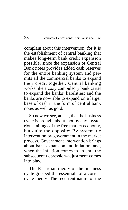complain about this intervention; for it is the establishment of central banking that makes long-term bank credit expansion possible, since the expansion of Central Bank notes provides added cash reserves for the entire banking system and permits all the commercial banks to expand their credit together. Central banking works like a cozy compulsory bank cartel to expand the banks' liabilities; and the banks are now able to expand on a larger base of cash in the form of central bank notes as well as gold.

So now we see, at last, that the business cycle is brought about, not by any mysterious failings of the free market economy, but quite the opposite: By systematic intervention by government in the market process. Government intervention brings about bank expansion and inflation, and, when the inflation comes to an end, the subsequent depression-adjustment comes into play.

The Ricardian theory of the business cycle grasped the essentials of a correct cycle theory: The recurrent nature of the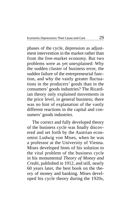phases of the cycle, depression as adjustment intervention in the market rather than from the free-market economy. But two problems were as yet unexplained: Why the sudden cluster of business error, the sudden failure of the entrepreneurial function, and why the vastly greater fluctuations in the producers' goods than in the consumers' goods industries? The Ricardian theory only explained movements in the price level, in general business; there was no hint of explanation of the vastly different reactions in the capital and consumers' goods industries.

 The correct and fully developed theory of the business cycle was finally discovered and set forth by the Austrian economist Ludwig von Mises, when he was a professor at the University of Vienna. Mises developed hints of his solution to the vital problem of the business cycle in his monumental *Theory of Money and Credit*, published in 1912, and still, nearly 60 years later, the best book on the theory of money and banking. Mises developed his cycle theory during the 1920s,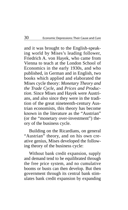and it was brought to the English-speaking world by Mises's leading follower, Friedrich A. von Hayek, who came from Vienna to teach at the London School of Economics in the early 1930s, and who published, in German and in English, two books which applied and elaborated the Mises cycle theory: *Monetary Theory and the Trade Cycle*, and *Prices and Production*. Since Mises and Hayek were Austrians, and also since they were in the tradition of the great nineteenth-century Austrian economists, this theory has become known in the literature as the " Austrian" (or the "monetary over-investment") theory of the business cycle.

Building on the Ricardians, on general "Austrian" theory, and on his own creative genius, Mises developed the following theory of the business cycle:

Without bank credit expansion, supply and demand tend to be equilibrated through the free price system, and no cumulative booms or busts can then develop. But then government through its central bank stimulates bank credit expansion by expanding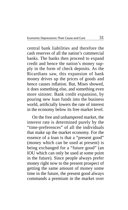central bank liabilities and therefore the cash reserves of all the nation's commercial banks. The banks then proceed to expand credit and hence the nation's money supply in the form of check deposits. As the Ricardians saw, this expansion of bank money drives up the prices of goods and hence causes inflation. But, Mises showed, it does something else, and something even more sinister. Bank credit expansion, by pouring new loan funds into the business world, artificially lowers the rate of interest in the economy below its free market level.

On the free and unhampered market, the interest rate is determined purely by the "time-preferences" of all the individuals that make up the market economy. For the essence of a loan is that a "present good" (money which can be used at present) is being exchanged for a "future good" (an IOU which can only be used at some point in the future). Since people always prefer money right now to the present prospect of getting the same amount of money some time in the future, the present good always commands a premium in the market over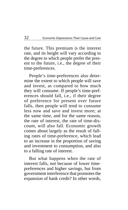the future. This premium is the interest rate, and its height will vary according to the degree to which people prefer the present to the future, i.e., the degree of their time-preferences.

People's time-preferences also determine the extent to which people will save and invest, as compared to how much they will consume. If people's time-preferences should fall, i.e., if their degree of preference for present over future falls, then people will tend to consume less now and save and invest more; at the same time, and for the same reason, the rate of interest, the rate of time-discount, will also fall. Economic growth comes about largely as the result of falling rates of time-preference, which lead to an increase in the proportion of saving and investment to consumption, and also to a falling rate of interest.

But what happens when the rate of interest falls, not because of lower timepreferences and higher savings, but from government interference that promotes the expansion of bank credit? In other words,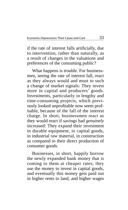if the rate of interest falls artificially, due to intervention, rather than naturally, as a result of changes in the valuations and preferences of the consuming public?

What happens is trouble. For businessmen, seeing the rate of interest fall, react as they always would and must to such a change of market signals: They invest more in capital and producers' goods. Investments, particularly in lengthy and time-consuming projects, which previously looked unprofitable now seem profitable, because of the fall of the interest charge. In short, businessmen react as they would react if savings had *genuinely* increased: They expand their investment in durable equipment, in capital goods, in industrial raw material, in construction as compared to their direct production of consumer goods.

Businesses, in short, happily borrow the newly expanded bank money that is coming to them at cheaper rates; they use the money to invest in capital goods, and eventually this money gets paid out in higher rents to land, and higher wages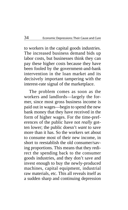to workers in the capital goods industries. The increased business demand bids up labor costs, but businesses think they can pay these higher costs because they have been fooled by the government-and-bank intervention in the loan market and its decisively important tampering with the interest-rate signal of the marketplace.

The problem comes as soon as the workers and landlords—largely the former, since most gross business income is paid out in wages—begin to spend the new bank money that they have received in the form of higher wages. For the time-preferences of the public have not *really* gotten lower; the public doesn't *want* to save more than it has. So the workers set about to consume most of their new income, in short to reestablish the old consumer/saving proportions. This means that they redirect the spending back to the consumer goods industries, and they don't save and invest enough to buy the newly-produced machines, capital equipment, industrial raw materials, etc. This all reveals itself as a sudden sharp and continuing depression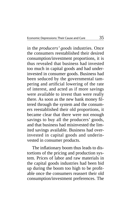in the *producers' goods* industries. Once the consumers reestablished their desired consumption/investment proportions, it is thus revealed that business had invested too much in capital goods and had underinvested in consumer goods. Business had been seduced by the governmental tampering and artificial lowering of the rate of interest, and acted as if more savings were available to invest than were really there. As soon as the new bank money filtered through the system and the consumers reestablished their old proportions, it became clear that there were not enough savings to buy all the producers' goods, and that business had misinvested the limited savings available. Business had overinvested in capital goods and underinvested in consumer products.

The inflationary boom thus leads to distortions of the pricing and production system. Prices of labor and raw materials in the capital goods industries had been bid up during the boom too high to be profitable once the consumers reassert their old consumption/investment preferences. The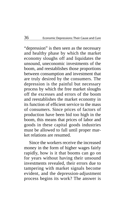"depression" is then seen as the necessary and healthy phase by which the market economy sloughs off and liquidates the unsound, uneconomic investments of the boom, and reestablishes those proportions between consumption and investment that are truly desired by the consumers. The depression is the painful but necessary process by which the free market sloughs off the excesses and errors of the boom and reestablishes the market economy in its function of efficient service to the mass of consumers. Since prices of factors of production have been bid too high in the boom, this means that prices of labor and goods in these capital goods industries must be allowed to fall until proper market relations are resumed.

Since the workers receive the increased money in the form of higher wages fairly rapidly, how is it that booms can go on for years without having their unsound investments revealed, their errors due to tampering with market signals become evident, and the depression- adjustment process begins its work? The answer is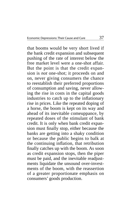that booms would be very short lived if the bank credit expansion and subsequent pushing of the rate of interest below the free market level were a one-shot affair. But the point is that the credit expansion is *not* one-shot; it proceeds on and on, never giving consumers the chance to reestablish their preferred proportions of consumption and saving, never allowing the rise in costs in the capital goods industries to catch up to the inflationary rise in prices. Like the repeated doping of a horse, the boom is kept on its way and ahead of its inevitable comeuppance, by repeated doses of the stimulant of bank credit. It is only when bank credit expansion must finally stop, either because the banks are getting into a shaky condition or because the public begins to balk at the continuing inflation, that retribution finally catches up with the boom. As soon as credit expansion stops, then the piper must be paid, and the inevitable readjustments liquidate the unsound over-investments of the boom, with the reassertion of a greater proportionate emphasis on consumers' goods production.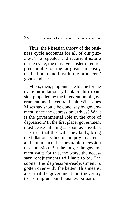Thus, the Misesian theory of the business cycle accounts for all of our puzzles: The repeated and recurrent nature of the cycle, the massive cluster of entrepreneurial error, the far greater intensity of the boom and bust in the producers' goods industries.

 Mises, then, pinpoints the blame for the cycle on inflationary bank credit expansion propelled by the intervention of government and its central bank. What does Mises say should be done, say by government, once the depression arrives? What is the governmental role in the cure of depression? In the first place, government must cease inflating as soon as possible. It is true that this will, inevitably, bring the inflationary boom abruptly to an end, and commence the inevitable recession or depression. But the longer the government waits for this, the worse the necessary readjustments will have to be. The sooner the depression-readjustment is gotten over with, the better. This means, also, that the government must never try to prop up unsound business situations;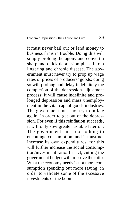it must never bail out or lend money to business firms in trouble. Doing this will simply prolong the agony and convert a sharp and quick depression phase into a lingering and chronic disease. The government must never try to prop up wage rates or prices of producers' goods; doing so will prolong and delay indefinitely the completion of the depression- adjustment process; it will cause indefinite and prolonged depression and mass unemployment in the vital capital goods industries. The government must not try to inflate again, in order to get out of the depression. For even if this reinflation succeeds, it will only sow greater trouble later on. The government must do nothing to encourage consumption, and it must not increase its own expenditures, for this will further increase the social consumption/investment ratio. In fact, cutting the government budget will improve the ratio. What the economy needs is not more consumption spending but more saving, in order to validate some of the excessive investments of the boom.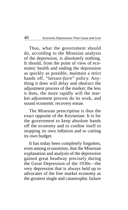Thus, what the government should do, according to the Misesian analysis of the depression, is absolutely nothing. It should, from the point of view of economic health and ending the depression as quickly as possible, maintain a strict hands off, "laissez-faire" policy. Anything it does will delay and obstruct the adjustment process of the market; the less it does, the more rapidly will the market adjustment process do its work, and sound economic recovery ensue.

The Misesian prescription is thus the exact opposite of the Keynesian: It is for the government to keep absolute hands off the economy and to confine itself to stopping its own inflation and to cutting its own budget.

It has today been completely forgotten, even among economists, that the Misesian explanation and analysis of the depression gained great headway precisely during the Great Depression of the 1930s—the very depression that is always held up to advocates of the free market economy as the greatest single and catastrophic failure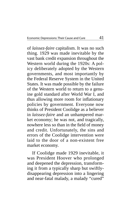of *laissez-faire* capitalism. It was no such thing. 1929 was made inevitable by the vast bank credit expansion throughout the Western world during the 1920s: A policy deliberately adopted by the Western governments, and most importantly by the Federal Reserve System in the United States. It was made possible by the failure of the Western world to return to a genuine gold standard after World War I, and thus allowing more room for inflationary policies by government. Everyone now thinks of President Coolidge as a believer in *laissez-faire* and an unhampered market economy; he was not, and tragically, nowhere less so than in the field of money and credit. Unfortunately, the sins and errors of the Coolidge intervention were laid to the door of a non-existent free market economy.

If Coolidge made 1929 inevitable, it was President Hoover who prolonged and deepened the depression, transforming it from a typically sharp but swiftlydisappearing depression into a lingering and near-fatal malady, a malady "cured"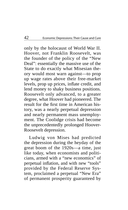only by the holocaust of World War II. Hoover, not Franklin Roosevelt, was the founder of the policy of the "New Deal": essentially the massive use of the State to do exactly what Misesian theory would most warn against—to prop up wage rates above their free-market levels, prop up prices, inflate credit, and lend money to shaky business positions. Roosevelt only advanced, to a greater degree, what Hoover had pioneered. The result for the first time in American history, was a nearly perpetual depression and nearly permanent mass unemployment. The Coolidge crisis had become the unprecedentedly prolonged Hoover- Roosevelt depression.

Ludwig von Mises had predicted the depression during the heyday of the great boom of the 1920s—a time, just like today, when economists and politicians, armed with a "new economics" of perpetual inflation, and with new "tools" provided by the Federal Reserve System, proclaimed a perpetual "New Era" of permanent prosperity guaranteed by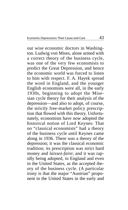our wise economic doctors in Washington. Ludwig von Mises, alone armed with a correct theory of the business cycle, was one of the very few economists to predict the Great Depression, and hence the economic world was forced to listen to him with respect. F. A. Hayek spread the word in England, and the younger English economists were all, in the early 1930s, beginning to adopt the Misesian cycle theory for their analysis of the depression—and also to adopt, of course, the strictly free-market policy prescription that flowed with this theory. Unfortunately, economists have now adopted the historical notion of Lord Keynes: That no "classical economists" had a theory of the business cycle until Keynes came along in 1936. There *was* a theory of the depression; it was the classical economic tradition; its prescription was strict hard money and *laissez-faire*; and it was rapidly being adopted, in England and even in the United States, as the accepted theory of the business cycle. (A particular irony is that the major "Austrian" proponent in the United States in the early and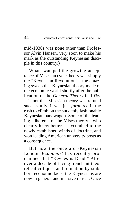mid-1930s was none other than Professor Alvin Hansen, very soon to make his mark as the outstanding Keynesian disciple in this country.)

What swamped the growing acceptance of Misesian cycle theory was simply the "Keynesian Revolution"—the amazing sweep that Keynesian theory made of the economic world shortly after the publication of the *General Theory* in 1936. It is not that Misesian theory was refuted successfully; it was just *forgotten* in the rush to climb on the suddenly fashionable Keynesian bandwagon. Some of the leading adherents of the Mises theory—who clearly knew better—succumbed to the newly established winds of doctrine, and won leading American university posts as a consequence.

But now the once arch-Keynesian London *Economist* has recently proclaimed that "Keynes is Dead." After over a decade of facing trenchant theoretical critiques and refutation by stubborn economic facts, the Keynesians are now in general and massive retreat. Once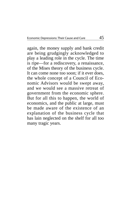again, the money supply and bank credit are being grudgingly acknowledged to play a leading role in the cycle. The time is ripe—for a rediscovery, a renaissance, of the Mises theory of the business cycle. It can come none too soon; if it ever does, the whole concept of a Council of Economic Advisors would be swept away, and we would see a massive retreat of government from the economic sphere. But for all this to happen, the world of economics, and the public at large, must be made aware of the existence of an explanation of the business cycle that has lain neglected on the shelf for all too many tragic years.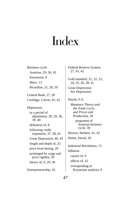# Index

Business cycle Austrian, 29, 30, 43 Keynesian, 9 Marx, 13 Ricardian, 21, 28, 29 Central Bank, 27, 28 Coolidge, Calvin, 41, 42 Depression as a period of adjustment, 28, 29, 36, 39, 40 definition of, 8 following credit expansion, 37, 38, 41 Great Depression, 40, 43 length and depth of, 25 price level during, 29 prolonged by wage and price rigidity, 39 theory of, 9, 29, 30 Entrepreneurship, 16

Federal Reserve System, 27, 41, 42

Gold standard, 21, 22, 23, 24, 25, 26, 28, 41

Great Depression *See* Depression

Hayek, F.A.

 *Monetary Theory and the Trade Cycle*, and *Prices and Production*, 30 proponent of Austrian business cycle, 30 Hoover, Herbert, 41, 42 Hume, David, 20 Industrial Revolution, 13 **Inflation**  causes of, 9 effects of, 22

overspending in Keynesian analysis, 9

47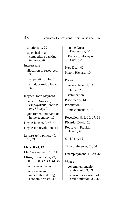solutions to, 29 squelched in a competitive banking industry, 26 Interest rate allocation of resources, 38 manipulation, 31–35 natural, or real, 31–32, 37 Keynes, John Maynard  *General Theory of Employment, Interest, and Money*, 9 government intervention in the economy, 10 Keynesianism, 9, 43, 44 Keynesian revolution, 44 *Laissez-faire* policy, 40, 41, 43 Marx, Karl, 13 McCracken, Paul, 10, 11 Mises, Ludwig von, 29, 30, 31, 38, 42, 43, 44, 45 on business cycles, 29 on government intervention during economic crises, 40

on the Great Depression, 40 *Theory of Money and Credit*, 29 New Deal, 42 Nixon, Richard, 10 Prices general level of, 14 relative, 25 stabilization, 9 Price theory, 14 Production time element in, 16 Recession, 8, 9, 10, 17, 38 Ricardo, David, 20 Roosevelt, Franklin Delano, 42 Socialism, 12 Time preference, 31, 34 Unemployment, 11, 39, 42 Wages government manipulation of, 33, 39 increasing as a result of credit inflation, 33, 42